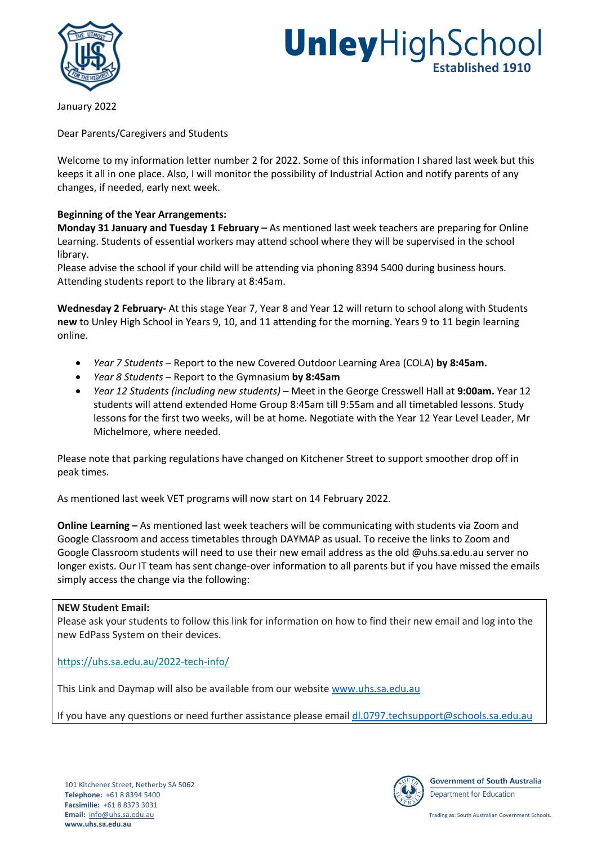

# **Unley** High School **Established 1910**

January 2022

Dear Parents/Caregivers and Students

Welcome to my information letter number 2 for 2022. Some of this information I shared last week but this keeps it all in one place. Also, I will monitor the possibility of Industrial Action and notify parents of any changes, if needed, early next week.

## **Beginning of the Year Arrangements:**

**Monday 31 January and Tuesday 1 February –** As mentioned last week teachers are preparing for Online Learning. Students of essential workers may attend school where they will be supervised in the school library.

Please advise the school if your child will be attending via phoning 8394 5400 during business hours. Attending students report to the library at 8:45am.

**Wednesday 2 February-** At this stage Year 7, Year 8 and Year 12 will return to school along with Students **new** to Unley High School in Years 9, 10, and 11 attending for the morning. Years 9 to 11 begin learning online.

- *Year 7 Students –* Report to the new Covered Outdoor Learning Area (COLA) **by 8:45am.**
- *Year 8 Students –* Report to the Gymnasium **by 8:45am**
- *Year 12 Students (including new students) –* Meet in the George Cresswell Hall at **9:00am.** Year 12 students will attend extended Home Group 8:45am till 9:55am and all timetabled lessons. Study lessons for the first two weeks, will be at home. Negotiate with the Year 12 Year Level Leader, Mr Michelmore, where needed.

Please note that parking regulations have changed on Kitchener Street to support smoother drop off in peak times.

As mentioned last week VET programs will now start on 14 February 2022.

**Online Learning –** As mentioned last week teachers will be communicating with students via Zoom and Google Classroom and access timetables through DAYMAP as usual. To receive the links to Zoom and Google Classroom students will need to use their new email address as the old @uhs.sa.edu.au server no longer exists. Our IT team has sent change-over information to all parents but if you have missed the emails simply access the change via the following:

## **NEW Student Email:**

Please ask your students to follow this link for information on how to find their new email and log into the new EdPass System on their devices.

## https://uhs.sa.edu.au/2022-tech-info/

This Link and Daymap will also be available from our website www.uhs.sa.edu.au

If you have any questions or need further assistance please email dl.0797.techsupport@schools.sa.edu.au



**Government of South Australia** Department for Education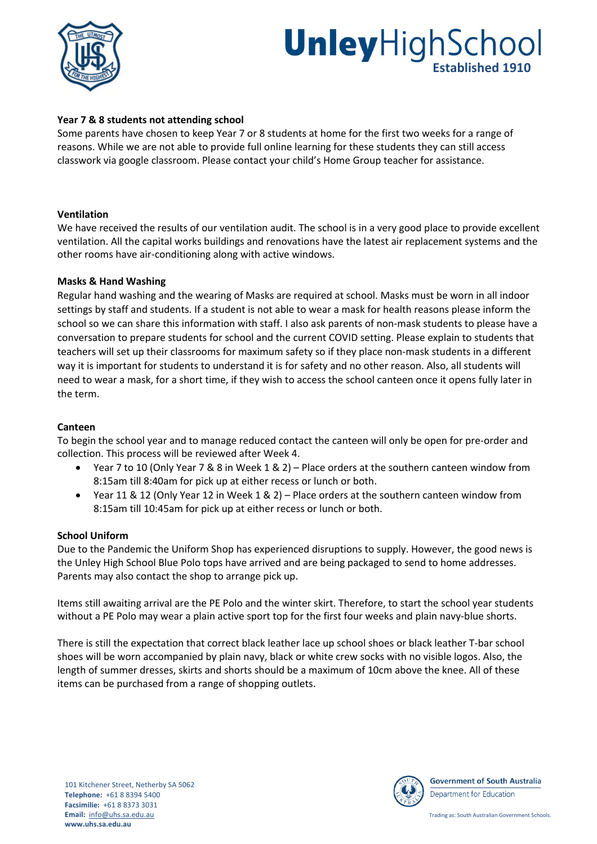

# UnleyHighSchool **Established 1910**

## **Year 7 & 8 students not attending school**

Some parents have chosen to keep Year 7 or 8 students at home for the first two weeks for a range of reasons. While we are not able to provide full online learning for these students they can still access classwork via google classroom. Please contact your child's Home Group teacher for assistance.

### **Ventilation**

We have received the results of our ventilation audit. The school is in a very good place to provide excellent ventilation. All the capital works buildings and renovations have the latest air replacement systems and the other rooms have air-conditioning along with active windows.

### **Masks & Hand Washing**

Regular hand washing and the wearing of Masks are required at school. Masks must be worn in all indoor settings by staff and students. If a student is not able to wear a mask for health reasons please inform the school so we can share this information with staff. I also ask parents of non-mask students to please have a conversation to prepare students for school and the current COVID setting. Please explain to students that teachers will set up their classrooms for maximum safety so if they place non-mask students in a different way it is important for students to understand it is for safety and no other reason. Also, all students will need to wear a mask, for a short time, if they wish to access the school canteen once it opens fully later in the term.

#### **Canteen**

To begin the school year and to manage reduced contact the canteen will only be open for pre-order and collection. This process will be reviewed after Week 4.

- Year 7 to 10 (Only Year 7 & 8 in Week 1 & 2) Place orders at the southern canteen window from 8:15am till 8:40am for pick up at either recess or lunch or both.
- Year 11 & 12 (Only Year 12 in Week 1 & 2) Place orders at the southern canteen window from 8:15am till 10:45am for pick up at either recess or lunch or both.

#### **School Uniform**

Due to the Pandemic the Uniform Shop has experienced disruptions to supply. However, the good news is the Unley High School Blue Polo tops have arrived and are being packaged to send to home addresses. Parents may also contact the shop to arrange pick up.

Items still awaiting arrival are the PE Polo and the winter skirt. Therefore, to start the school year students without a PE Polo may wear a plain active sport top for the first four weeks and plain navy-blue shorts.

There is still the expectation that correct black leather lace up school shoes or black leather T-bar school shoes will be worn accompanied by plain navy, black or white crew socks with no visible logos. Also, the length of summer dresses, skirts and shorts should be a maximum of 10cm above the knee. All of these items can be purchased from a range of shopping outlets.



**Government of South Australia** Department for Education